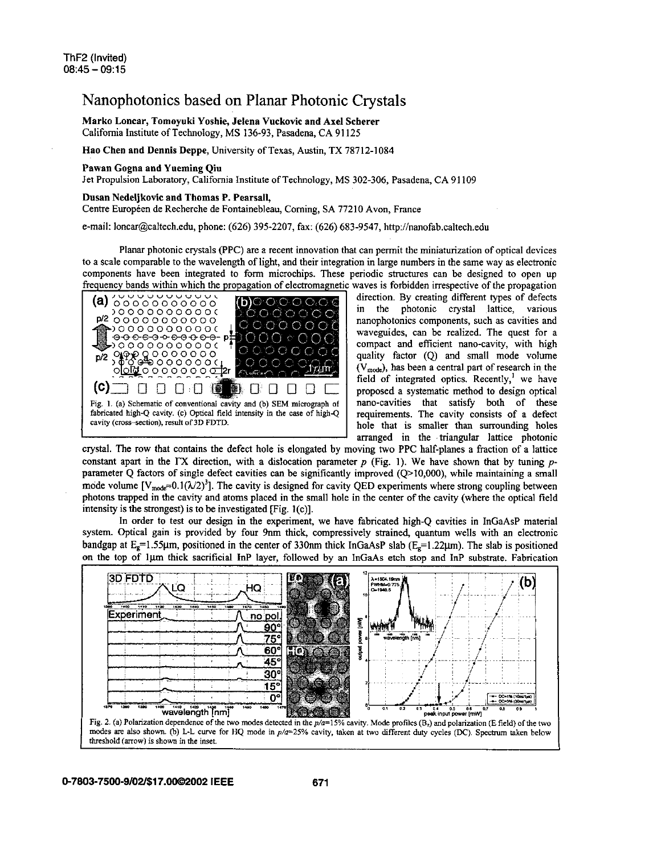## Nanophotonics based on Planar Photonic Crystals

Marko Loncar, Tomoyuki Yoshie, Jelena Vuckovic and Axel Scherer California Institute of Technology, MS **136-93,** Pasadena, CA **91 125** 

## Hao Chen and Dennis Deppe, University of Texas, Austin, TX **78712-1084**

## Pawan Gogna and Yueming Qin

Jet Propulsion Laboratory, California Institute of Technology, MS **302-306,** Pasadena, CA **91 109** 

## Dusan Nedeljkovic and Thomas P. Pearsall,

Centre Européen de Recherche de Fontainebleau, Corning, SA 77210 Avon, France

e-mail: [loncar@caltech.edu,](mailto:loncar@caltech.edu) phone: **(626) 395-2207,** fax: **(626) 683-9547, [http://nanofab.caltech.ed](http://nanofab.caltech.edu)u** 

Planar photonic crystals (PPC) are a recent innovation that can permit the miniaturization of optical devices to a scale comparable to the wavelength of light, and their integration in large numbers in the same way as electronic<br>components have been integrated to form microchips. These periodic structures can be designed to open u components have been integrated to form microchips. These periodic structures can be designed to open up equency bands within which the propagation of electromagnetic waves is forbidden irrespective of the propagation



direction. By creating different types of defects in the photonic crystal lattice, various nanophotonics components, such as cavities and waveguides, can be realized. The quest for a compact and efficient nano-cavity, with high quality factor (Q) and small mode volume  $(V_{mode})$ , has been a central part of research in the field of integrated optics. Recently,' we have proposed a systematic method to design optical nano-cavities that satisfy both of these requirements. The cavity consists of a defect hole that is smaller than surrounding holes arranged in the triangular lattice photonic

crystal. The row that contains the defect hole is elongated by moving two PPC half-planes a fraction of a lattice constant apart in the **IX** direction, with a dislocation parameter *p* (Fig. I). We have shown that by tuning pparameter Q factors of single defect cavities can be significantly improved (Q>10,000), while maintaining a small mode volume  $[V_{\text{mode}}=0.1(\lambda/2)^3]$ . The cavity is designed for cavity QED experiments where strong coupling between photons trapped in the cavity and atoms placed in the small hole in the center of the cavity (where the optical field intensity is the strongest) is to be investigated  $[Fig. 1(c)].$ 

In order to test our design in the experiment, we have fabricated high-Q cavities in InGaAsP material system. Optical gain is provided by four 9nm thick compressively strained, quantum wells with an electronic bandgap at Eg=1.55gm, positioned in the center of **330nm** thick InGaAsP slab **(Eg=l.22pm). The** slab is positioned **<sup>I</sup>**the top of **lpm** thick sacrificial InP layer, followed by an InGaAs etch stop and InP substrate. Fabrication